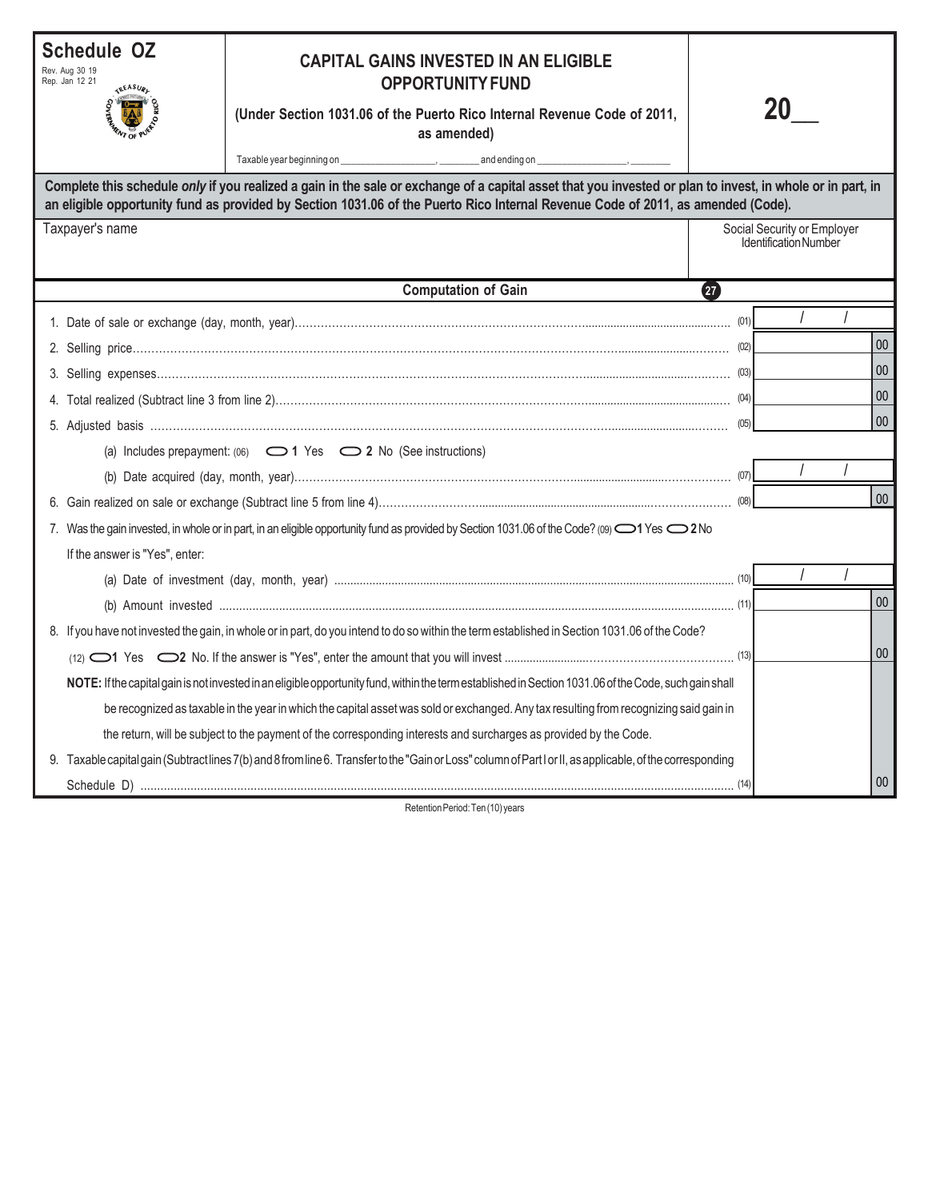| <b>Schedule OZ</b><br>Rev. Aug 30 19<br>Rep. Jan 12 21<br>TREASURL                                                                                         | <b>CAPITAL GAINS INVESTED IN AN ELIGIBLE</b><br><b>OPPORTUNITY FUND</b>                                                                                                                                                                                                                        | 20               |                                                      |  |          |
|------------------------------------------------------------------------------------------------------------------------------------------------------------|------------------------------------------------------------------------------------------------------------------------------------------------------------------------------------------------------------------------------------------------------------------------------------------------|------------------|------------------------------------------------------|--|----------|
|                                                                                                                                                            | (Under Section 1031.06 of the Puerto Rico Internal Revenue Code of 2011,<br>as amended)                                                                                                                                                                                                        |                  |                                                      |  |          |
|                                                                                                                                                            | _and ending on ___                                                                                                                                                                                                                                                                             |                  |                                                      |  |          |
|                                                                                                                                                            | Complete this schedule only if you realized a gain in the sale or exchange of a capital asset that you invested or plan to invest, in whole or in part, in<br>an eligible opportunity fund as provided by Section 1031.06 of the Puerto Rico Internal Revenue Code of 2011, as amended (Code). |                  |                                                      |  |          |
| Taxpayer's name                                                                                                                                            |                                                                                                                                                                                                                                                                                                |                  | Social Security or Employer<br>Identification Number |  |          |
|                                                                                                                                                            | <b>Computation of Gain</b>                                                                                                                                                                                                                                                                     | $\boldsymbol{q}$ |                                                      |  |          |
|                                                                                                                                                            |                                                                                                                                                                                                                                                                                                |                  |                                                      |  |          |
|                                                                                                                                                            |                                                                                                                                                                                                                                                                                                |                  |                                                      |  | $00\,$   |
|                                                                                                                                                            |                                                                                                                                                                                                                                                                                                |                  |                                                      |  | 00       |
|                                                                                                                                                            |                                                                                                                                                                                                                                                                                                |                  |                                                      |  | 00       |
|                                                                                                                                                            |                                                                                                                                                                                                                                                                                                |                  |                                                      |  | 00       |
|                                                                                                                                                            | (a) Includes prepayment: $(06)$ $\Box$ 1 Yes $\Box$ 2 No (See instructions)                                                                                                                                                                                                                    |                  |                                                      |  |          |
|                                                                                                                                                            |                                                                                                                                                                                                                                                                                                |                  |                                                      |  |          |
|                                                                                                                                                            |                                                                                                                                                                                                                                                                                                |                  |                                                      |  | $ _{00}$ |
|                                                                                                                                                            | 7. Was the gain invested, in whole or in part, in an eligible opportunity fund as provided by Section 1031.06 of the Code? (09) <a>&gt;&gt;&gt;1<br/>Yes <a>&gt;2&gt;No</a></a>                                                                                                                |                  |                                                      |  |          |
| If the answer is "Yes", enter:                                                                                                                             |                                                                                                                                                                                                                                                                                                |                  |                                                      |  |          |
|                                                                                                                                                            |                                                                                                                                                                                                                                                                                                |                  |                                                      |  |          |
|                                                                                                                                                            |                                                                                                                                                                                                                                                                                                |                  |                                                      |  | 00       |
| 8. If you have not invested the gain, in whole or in part, do you intend to do so within the term established in Section 1031.06 of the Code?              |                                                                                                                                                                                                                                                                                                |                  |                                                      |  |          |
|                                                                                                                                                            |                                                                                                                                                                                                                                                                                                |                  |                                                      |  | 00       |
|                                                                                                                                                            | NOTE: If the capital gain is not invested in an eligible opportunity fund, within the term established in Section 1031.06 of the Code, such gain shall                                                                                                                                         |                  |                                                      |  |          |
| be recognized as taxable in the year in which the capital asset was sold or exchanged. Any tax resulting from recognizing said gain in                     |                                                                                                                                                                                                                                                                                                |                  |                                                      |  |          |
| the return, will be subject to the payment of the corresponding interests and surcharges as provided by the Code.                                          |                                                                                                                                                                                                                                                                                                |                  |                                                      |  |          |
| 9. Taxable capital gain (Subtract lines 7(b) and 8 from line 6. Transfer to the "Gain or Loss" column of Part I or II, as applicable, of the corresponding |                                                                                                                                                                                                                                                                                                |                  |                                                      |  |          |
|                                                                                                                                                            |                                                                                                                                                                                                                                                                                                |                  |                                                      |  | 00       |

Retention Period: Ten (10) years